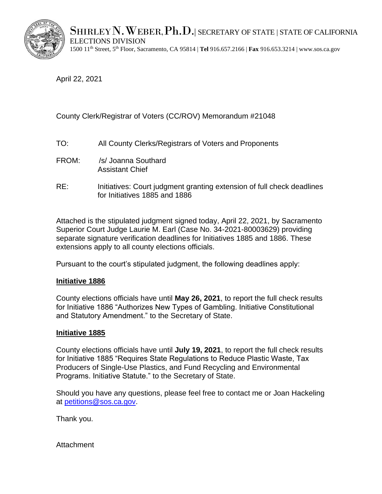

 $\operatorname{SHIRLEY}N$ . Weber,  $\operatorname{Ph.D.}$  secretary of state | state of california ELECTIONS DIVISION

1500 11th Street, 5th Floor, Sacramento, CA 95814 | **Tel** 916.657.2166 | **Fax** 916.653.3214 [| www.sos.ca.gov](http://www.sos.ca.gov/) 

April 22, 2021

## County Clerk/Registrar of Voters (CC/ROV) Memorandum #21048

- TO: All County Clerks/Registrars of Voters and Proponents
- FROM: /s/ Joanna Southard Assistant Chief
- RE: Initiatives: Court judgment granting extension of full check deadlines for Initiatives 1885 and 1886

Attached is the stipulated judgment signed today, April 22, 2021, by Sacramento Superior Court Judge Laurie M. Earl (Case No. 34-2021-80003629) providing separate signature verification deadlines for Initiatives 1885 and 1886. These extensions apply to all county elections officials.

Pursuant to the court's stipulated judgment, the following deadlines apply:

## **Initiative 1886**

County elections officials have until **May 26, 2021**, to report the full check results for Initiative 1886 "Authorizes New Types of Gambling. Initiative Constitutional and Statutory Amendment." to the Secretary of State.

## **Initiative 1885**

County elections officials have until **July 19, 2021**, to report the full check results for Initiative 1885 "Requires State Regulations to Reduce Plastic Waste, Tax Producers of Single-Use Plastics, and Fund Recycling and Environmental Programs. Initiative Statute." to the Secretary of State.

Should you have any questions, please feel free to contact me or Joan Hackeling at [petitions@sos.ca.gov.](mailto:petitions@sos.ca.gov)

Thank you.

Attachment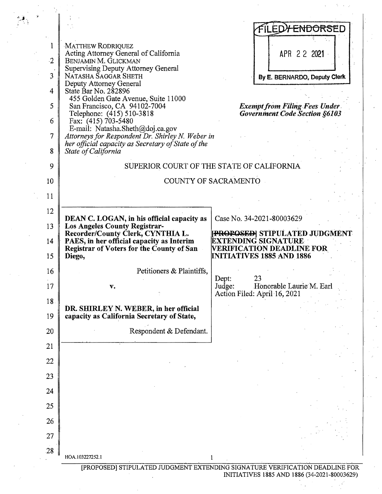|  |           |                                                                                                        | FILED <del>Y ENDORS</del> ED                                                 |
|--|-----------|--------------------------------------------------------------------------------------------------------|------------------------------------------------------------------------------|
|  | 1         | MATTHEW RODRIQUEZ                                                                                      |                                                                              |
|  |           | Acting Attorney General of California                                                                  | APR 2 2 2021                                                                 |
|  | $\cdot 2$ | BENJAMIN M. GLICKMAN<br>Supervising Deputy Attorney General                                            |                                                                              |
|  | 3         | NATASHA SAGGAR SHETH<br>Deputy Attorney General                                                        | By E. BERNARDO, Deputy Clerk                                                 |
|  | 4         | State Bar No. 282896                                                                                   |                                                                              |
|  | 5         | 455 Golden Gate Avenue, Suite 11000<br>San Francisco, CA 94102-7004                                    | <b>Exempt from Filing Fees Under</b>                                         |
|  |           | Telephone: (415) 510-3818                                                                              | <b>Government Code Section §6103</b>                                         |
|  | 6         | Fax: $(415)$ 703-5480<br>E-mail: Natasha.Sheth@doj.ca.gov                                              |                                                                              |
|  | 7         | Attorneys for Respondent Dr. Shirley N. Weber in<br>her official capacity as Secretary of State of the |                                                                              |
|  | 8         | State of California                                                                                    |                                                                              |
|  | 9         |                                                                                                        | SUPERIOR COURT OF THE STATE OF CALIFORNIA.                                   |
|  | 10        |                                                                                                        | COUNTY OF SACRAMENTO                                                         |
|  |           |                                                                                                        |                                                                              |
|  | 11        |                                                                                                        |                                                                              |
|  | 12        | DEAN C. LOGAN, in his official capacity as                                                             | Case No. 34-2021-80003629                                                    |
|  | 13        | <b>Los Angeles County Registrar-</b>                                                                   |                                                                              |
|  | 14        | Recorder/County Clerk, CYNTHIA L.<br>PAES, in her official capacity as Interim                         | <b>[PROPOSED]</b> STIPULATED JUDGMENT<br>EXTENDING SIGNATURE:                |
|  |           | Registrar of Voters for the County of San                                                              | <b>VERIFICATION DEADLINE FOR</b>                                             |
|  | 15        | Diego,                                                                                                 | <b>INITIATIVES 1885 AND 1886</b>                                             |
|  | 16        | Petitioners & Plaintiffs,                                                                              | 23                                                                           |
|  | 17        | $\mathbf{v}$ .                                                                                         | Dept:<br>Honorable Laurie M. Earl<br>Judge:                                  |
|  | 18        |                                                                                                        | Action Filed: April 16, 2021                                                 |
|  |           | DR. SHIRLEY N. WEBER, in her official                                                                  |                                                                              |
|  | 19        | capacity as California Secretary of State,                                                             |                                                                              |
|  | 20        | Respondent & Defendant.                                                                                |                                                                              |
|  | 21        |                                                                                                        |                                                                              |
|  | 22        |                                                                                                        |                                                                              |
|  | 23        |                                                                                                        |                                                                              |
|  |           |                                                                                                        |                                                                              |
|  | 24        |                                                                                                        |                                                                              |
|  | 25        |                                                                                                        |                                                                              |
|  | 26        |                                                                                                        |                                                                              |
|  | 27        |                                                                                                        |                                                                              |
|  |           |                                                                                                        |                                                                              |
|  | 28        | HOA.103227252.1                                                                                        |                                                                              |
|  |           |                                                                                                        | [PROPOSED] STIPULATED JUDGMENT EXTENDING SIGNATURE VERIFICATION DEADLINE FOR |

INITIATIVES 1885 AND 1886 (34-2021-80003629)

 $\ddot{\phantom{a}}$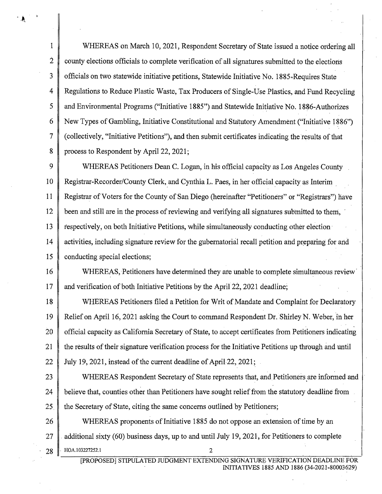1 WHEREAS on March 10, 2021, Respondent Secretary of State issued a notice ordering all  $2 \parallel$  county elections officials to complete verification of all signatures submitted to the elections  $3 \parallel$  officials on two statewide initiative petitions, Statewide Initiative No. 1885-Requires State 4 Regulations to Reduce Plastic Waste, Tax Producers of Single-Use Plastics, and Fund Recycling 5 and Environmental Programs ("Initiative 1885") and Statewide Initiative No. 1886-Authorizes 6 New Types of Gambling, Initiative Constitutional and Statutory Amendment ("Initiative 1886") 7 (collectively, "Initiative Petitions"), and then submit certificates indicating the results ofthat 8 process to Respondent by April 22, 2021;

9 WHEREAS Petitioners Dean C. Logan, in his official capacity as Los Angeles County 10 Registrar-Recorder/County Clerk, and Cynthia L. Paes, in her official capacity as Interim 11 Registrar ofVoters for the County of San Diego (hereinafter "Petitioners" or "Registrars") have 12 been and still are in the process of reviewing and verifying all signatures submitted to them, 13  $\parallel$  respectively, on both Initiative Petitions, while simultaneously conducting other election 14 activities, including signature review for the gubernatorial recall petition and preparing for and 15 conducting special elections;

16 WHEREAS, Petitioners have determined they ate unable to complete simultaneous review· 17 and verification of both Initiative Petitions by the April 22, 2021 deadline;

18 WHEREAS Petitioners filed a Petition for Writ of Mandate and Complaint for Declaratory 19 Relief on April 16, 2021 asking the Court to command Respondent Dr.. Shirley N. Weber, in her 20 official capacity as California Secretary of State, to accept certificates from Petitioners indicating 21 the results of their signature verification process for the Initiative Petitions up through and until 22 July 19, 2021, instead of the current deadline of April 22, 2021;

23 WHEREAS Respondent Secretary of State represents that, and Petitioners are informed and 24 believe that, counties other than Petitioners have sought relief from the statutory deadline from 25. the Secretary of State, citing the same concerns outlined by Petitioners;

26 WHEREAS proponents of Initiative 1885 do not oppose an extension of time by an 27  $\parallel$  additional sixty (60) business days, up to and until July 19, 2021, for Petitioners to complete **28 ·** HOA.103227252.1 **2** 

[PROPOSED] STIPULATED JUDGMENT EXTENDING: SIGNATURE VERIFICATION DEADLINE FOR INITIATIVES 1885 AND 1886 (34-2021-80003629)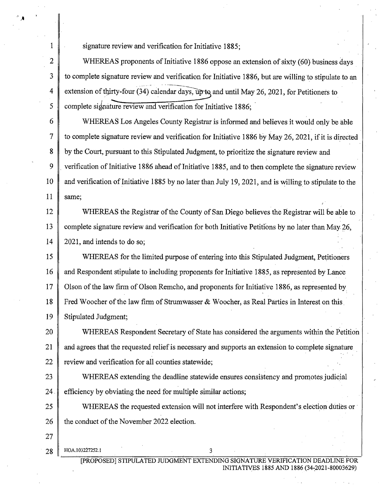signature review and verification for Initiative 1885;

2 WHEREAS proponents of Initiative 1886 oppose an extension of sixty (60) business days to complete signature review and verification for Initiative 1886, but are willing to stipulate to an extension of thirty-four (34) calendar days, up to and until May 26, 2021, for Petitioners to complete signature review and verification for *Initiative 1886*;

6 7 8 9 10 11 WHEREAS Los Angeles County Registrar is informed and believes it would only be able to complete signature review and verification for Initiative 1886 by May 26, 2021, if it is directed by the Court, pursuant to this Stipulated Judgment, to prioritize the signature review and verification of Initiative 1886 ahead of Initiative 1885, and to then complete the signature review and verification of Initiative 1885 by no later than July 19, 2021, and is willing to stipulate to the same;

12 13 14 WHEREAS the Registrar of the County of San Diego believes the Registrar will be able to complete signature review and verification for both Initiative Petitions by no later than May 26, 2021, and intends to do so;

15 16 17 18 19 WHEREAS for the limited purpose of entering into this Stipulated Judgment, Petitioners and Respondent stipuiate to including proponents for Initiative 1885, as represented by Lance Olson of the law firm of Olson Remcho, and proponents for Initiative 1886, as represented by Fred Woocher of the law firm of Strumwasser & Woocher, as Real Parties in Interest on this Stipulated Judgment;

20 21 22 WHEREAS Respondent Secretary of State has considered the arguments within the Petition and agrees that the requested relief is necessary and supports an extension to complete signature review and verification for all counties statewide;

23 24 WHEREAS extending the deadline statewide ensures consistency and promotes judicial efficiency by obviating the need for multiple similar actions;

25 26 WHEREAS the requested extension will not interfere with Respondent's election duties or the conduct of the November 2022 election.

27

1

3

4

5

**28**  HOA.103227252.1 3

> [PROPOSED] STIPULATED JUDGMENT EXTENDING SIGNATURE VERIFICATION DEADLINE INITIATIVES 1885 AND 1886 (34~2021-80003629)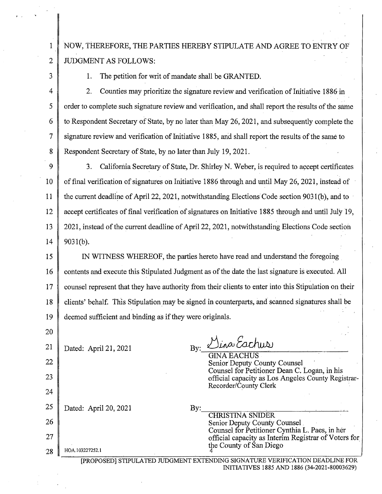1 NOW, THEREFORE, THE PARTIES HEREBY STIPULATE AND AGREE TO ENTRY OF JUDGMENT AS FOLLOWS:

3

2

20

1. The petition for writ of mandate shall be GRANTED.

4 5 6 7 8 2. Counties may prioritize the signature review and verification of Initiative 1886 in order to complete such signature review and verification, and shall report the results of the same to Respondent Secretary of State, by no later than May 26, 2021, and subsequently complete the signature review and verification of Initiative 1885, and shall report the results of the same to Respondent Secretary of State, by no later than July 19, 2021.

9 IO 11 12 13 14 3. California Secretary of State, Dr. Shirley N. Weber, is required to accept certificates of final verification of signatures on Initiative 1886 through and until May 26, 2021, instead of the current deadline of April 22, 2021, notwithstanding Elections Code section 9031(b), and to accept certificates of final verification of signatures on Initiative 1885 through and until July 19, 2021, instead of the current deadline of April 22, 2021, notwithstanding Elections Code section 9031(b).

15 16 17 18 19 IN WITNESS WHEREOF, the parties hereto have read and understand the foregoing contents and execute this Stipulated Judgment as of the date the last signature is executed. All counsel represent that they have authority from their clients to enter into this Stipulation on their clients' behalf. This Stipulation may be signed in counterparts, and scanned signatures shall be deemed sufficient and binding as if they were originals.

| 21 | Dated: April 21, 2021         | Dina Eachus<br>$\mathbf{By:}$                                                                                               |
|----|-------------------------------|-----------------------------------------------------------------------------------------------------------------------------|
| 22 |                               | <b>GINA EACHUS</b><br>Senior Deputy County Counsel                                                                          |
| 23 |                               | Counsel for Petitioner Dean C. Logan, in his<br>official capacity as Los Angeles County Registrar-<br>Recorder/County Clerk |
| 24 |                               |                                                                                                                             |
| 25 | Dated: April 20, 2021         | $\rm{By:}$                                                                                                                  |
| 26 |                               | <b>CHRISTINA SNIDER</b><br><b>Senior Deputy County Counsel</b>                                                              |
| 27 |                               | Counsel for Petitioner Cynthia L. Paes, in her<br>official capacity as Interim Registrar of Voters for                      |
| 28 | HOA.103227252.1               | the County of San Diego                                                                                                     |
|    | [PROPOSED] STIPULATED JUDGMEN | SIGNATURE VERIFICATION DEADLINE FOR<br>INITIATIVES 1885 AND 1886 (34-2021-80003629)                                         |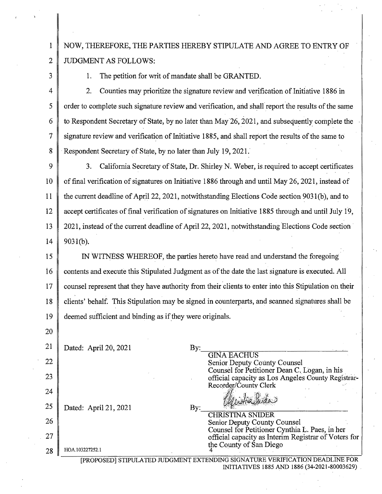NOW, THEREFORE, THE PARTIES HEREBY STIPULATE AND AGREE TO ENTRY OF JUDGMENT AS FOLLOWS:

3

1

2

20

1. The petition for writ of mandate shall be GRANTED.

4 5 6 7 8 2. Counties may prioritize the signature review and verification of Initiative 1886 in order to complete such signature review and verification, and shall report the results of the same to Respondent Secretary of State, by no later than May 26, 2021, and subsequently complete the signature review and verification of Initiative 1885, and shall report the results of the same to Respondent Secretary of State, by no later than July 19, 2021.

9 10 11 12 13 14 3. California Secretary of State, Dr. Shirley N. Weber, is.required to accept certificates of final verification of signatures on Initiative 1886 through and until May 26, 2021, instead of the current deadline of April 22, 2021, notwithstanding Elections Code section 9031 (b ), and to accept certificates of final verification of signatures on Initiative 1885 through and until July 19, 2021, instead of the current deadline of April 22, 2021, notwithstanding Elections Code section 9031(b).

15 16 17 18 19 IN WITNESS WHEREOF, the patties hereto have read and understand the foregoing· contents and execute this Stipulated Judgment as of the date the last signature is executed. All counsel represent that they have authority from their clients to enter into this Stipulation on their clients' behalf. This Stipulation may be signed in counterparts, and scanned signatures shall·be deemed sufficient and binding as if they were originals.

| 21 | Dated: April 20, 2021                                                                                        | $\rm{By:}$ |                                                                                                                                   |  |
|----|--------------------------------------------------------------------------------------------------------------|------------|-----------------------------------------------------------------------------------------------------------------------------------|--|
| 22 |                                                                                                              |            | <b>GINA EACHUS</b><br>Senior Deputy County Counsel                                                                                |  |
| 23 |                                                                                                              |            | Counsel for Petitioner Dean C. Logan, in his<br>official capacity as Los Angeles County Registrar-                                |  |
| 24 |                                                                                                              |            | Recorder/County Clerk                                                                                                             |  |
| 25 | Dated: April 21, 2021                                                                                        | By:        |                                                                                                                                   |  |
| 26 |                                                                                                              |            | <b>CHRISTINA SNIDER</b><br>Senior Deputy County Counsel                                                                           |  |
| 27 |                                                                                                              |            | Counsel for Petitioner Cynthia L. Paes, in her<br>official capacity as Interim Registrar of Voters for<br>the County of San Diego |  |
| 28 | HOA.103227252.1                                                                                              |            |                                                                                                                                   |  |
|    | SIGNATURE VERIFICATION DEADLINE FOR<br>IPROPOSEDI STIPULATED<br>INITIATIVES 1885 AND 1886 (34-2021-80003629) |            |                                                                                                                                   |  |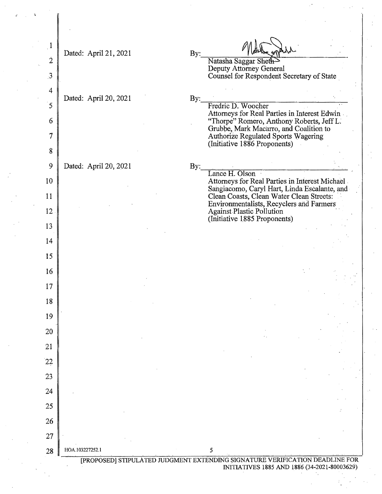| $\mathbf{1}$   |                       |     |                                                                                           |
|----------------|-----------------------|-----|-------------------------------------------------------------------------------------------|
| $\dot{2}$      | Dated: April 21, 2021 | By: | Natasha Saggar Sheth-                                                                     |
| $\mathfrak{Z}$ |                       |     | Deputy Attorney General<br>Counsel for Respondent Secretary of State                      |
| $\overline{4}$ |                       |     |                                                                                           |
| 5              | Dated: April 20, 2021 | By: | Fredric D. Woocher                                                                        |
| 6              |                       |     | Attorneys for Real Parties in Interest Edwin<br>"Thorpe" Romero, Anthony Roberts, Jeff L. |
| 7              |                       |     | Grubbe, Mark Macarro, and Coalition to<br>Authorize Regulated Sports Wagering             |
| 8              |                       |     | (Initiative 1886 Proponents)                                                              |
| 9              | Dated: April 20, 2021 | By: |                                                                                           |
| 10             |                       |     | Lance H. Olson<br>Attorneys for Real Parties in Interest Michael                          |
| 11             |                       |     | Sangiacomo, Caryl Hart, Linda Escalante, and<br>Clean Coasts, Clean Water Clean Streets:  |
| 12             |                       |     | Environmentalists, Recyclers and Farmers<br><b>Against Plastic Pollution</b>              |
| 13             |                       |     | (Initiative 1885 Proponents)                                                              |
| 14             |                       |     |                                                                                           |
| 15             |                       |     |                                                                                           |
| 16             |                       |     |                                                                                           |
| 17             |                       |     |                                                                                           |
| 18             |                       |     |                                                                                           |
| 19             |                       |     |                                                                                           |
| 20             |                       |     |                                                                                           |
| 21             |                       |     |                                                                                           |
| 22             |                       |     |                                                                                           |
| 23             |                       |     |                                                                                           |
| 24             |                       |     |                                                                                           |
| 25             |                       |     |                                                                                           |
| 26             |                       |     |                                                                                           |
| 27             |                       |     |                                                                                           |
| 28             | HOA.103227252.1       |     | 5<br>[PROPOSED] STIPULATED JUDGMENT EXTENDING SIGNATURE VERIFICATION DEADLINE FOR         |
|                |                       |     | INITIATIVES 1885 AND 1886 (34-2021-80003629)                                              |

 $\label{eq:1} \frac{1}{\sqrt{2}}\sum_{i=1}^n\frac{1}{\sqrt{2}}\left(\frac{1}{\sqrt{2}}\right)^2\left(\frac{1}{\sqrt{2}}\right)^2\left(\frac{1}{\sqrt{2}}\right)^2.$ 

 $\sim 10^{-11}$ 

 $\epsilon$ 

 $\begin{bmatrix} 1 \\ 1 \\ 1 \end{bmatrix}$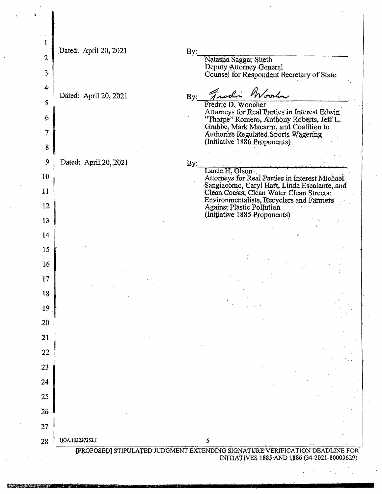| $\overline{2}$   | Dated: April 20, 2021 | By:                               | Natasha Saggar Sheth                                                                     |
|------------------|-----------------------|-----------------------------------|------------------------------------------------------------------------------------------|
| 3 <sup>1</sup>   |                       |                                   | Deputy Attorney General                                                                  |
|                  |                       |                                   | Counsel for Respondent Secretary of State                                                |
| $\ddot{4}$       | Dated: April 20, 2021 | By:                               | Fredi Woodn                                                                              |
| $5^{\circ}$      |                       |                                   | Fredric D. Woocher<br>Attorneys for Real Parties in Interest Edwin                       |
| 6                |                       |                                   | "Thorpe" Romero, Anthony Roberts, Jeff L.                                                |
| $\overline{7}$   |                       |                                   | Grubbe, Mark Macarro, and Coalition to<br><b>Authorize Regulated Sports Wagering</b>     |
| $\boldsymbol{8}$ |                       |                                   | (Initiative 1886 Proponents)                                                             |
| $\overline{9}$   | Dated: April 20, 2021 | $\overline{\mathbf{B}}\mathbf{v}$ |                                                                                          |
| 10               |                       |                                   | Lance H. Olson<br>Attorneys for Real Parties in Interest Michael                         |
| 11               |                       |                                   | Sangiacomo, Caryl Hart, Linda Escalante, and<br>Clean Coasts, Clean Water Clean Streets: |
| 12               |                       |                                   | Environmentalists, Recyclers and Farmers<br><b>Against Plastic Pollution</b>             |
| 13               |                       |                                   | (Initiative 1885 Proponents)                                                             |
| 14               |                       |                                   |                                                                                          |
| 15               |                       |                                   |                                                                                          |
|                  |                       |                                   |                                                                                          |
| 16               |                       |                                   |                                                                                          |
| 17               |                       |                                   |                                                                                          |
| 18               |                       |                                   |                                                                                          |
| 19               |                       |                                   |                                                                                          |
| 20               |                       |                                   |                                                                                          |
| 21               |                       |                                   |                                                                                          |
| 22               |                       |                                   |                                                                                          |
| 23               |                       |                                   |                                                                                          |
| 24               |                       |                                   |                                                                                          |
| 25               |                       |                                   |                                                                                          |
| 26               |                       |                                   |                                                                                          |
| $-27$            |                       |                                   |                                                                                          |
|                  | HOA 103227252.1       |                                   | 5.                                                                                       |
| 28.              |                       |                                   | [PROPOSED] STIPULATED JUDGMENT EXTENDING SIGNATURE VERIFICATION DEADLINE FOR             |

<sup>&#</sup>x27; hat **-mtiif**WI -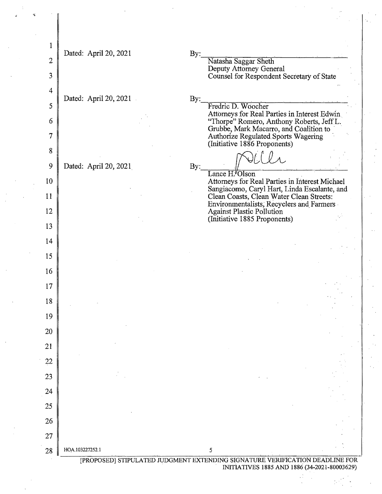| 1              |                       |                                                                                           |
|----------------|-----------------------|-------------------------------------------------------------------------------------------|
| $\overline{2}$ | Dated: April 20, 2021 | By:<br>Natasha Saggar Sheth                                                               |
| 3              |                       | Deputy Attorney General<br>Counsel for Respondent Secretary of State                      |
| $\overline{4}$ |                       |                                                                                           |
| 5              | Dated: April 20, 2021 | By:<br>Fredric D. Woocher                                                                 |
| 6              |                       | Attorneys for Real Parties in Interest Edwin<br>"Thorpe" Romero, Anthony Roberts, Jeff L. |
| $\overline{7}$ |                       | Grubbe, Mark Macarro, and Coalition to<br>Authorize Regulated Sports Wagering             |
| 8              |                       | (Initiative 1886 Proponents)                                                              |
| 9              | Dated: April 20, 2021 | By:                                                                                       |
| 10             |                       | Lance H. Olson<br>Attorneys for Real Parties in Interest Michael                          |
| 11             |                       | Sangiacomo, Caryl Hart, Linda Escalante, and<br>Clean Coasts, Clean Water Clean Streets:  |
| 12             |                       | Environmentalists, Recyclers and Farmers<br><b>Against Plastic Pollution</b>              |
| 13             |                       | (Initiative 1885 Proponents)                                                              |
| 14             |                       |                                                                                           |
| 15             |                       |                                                                                           |
| 16             |                       |                                                                                           |
| 17             |                       |                                                                                           |
| 18             |                       |                                                                                           |
| 19             |                       |                                                                                           |
| 20             |                       |                                                                                           |
| 21             |                       |                                                                                           |
| 22             |                       |                                                                                           |
| 23             |                       |                                                                                           |
| 24             |                       |                                                                                           |
| 25             |                       |                                                                                           |
| 26             |                       |                                                                                           |
| 27             |                       |                                                                                           |
| 28             | HOA.103227252.1       | 5                                                                                         |